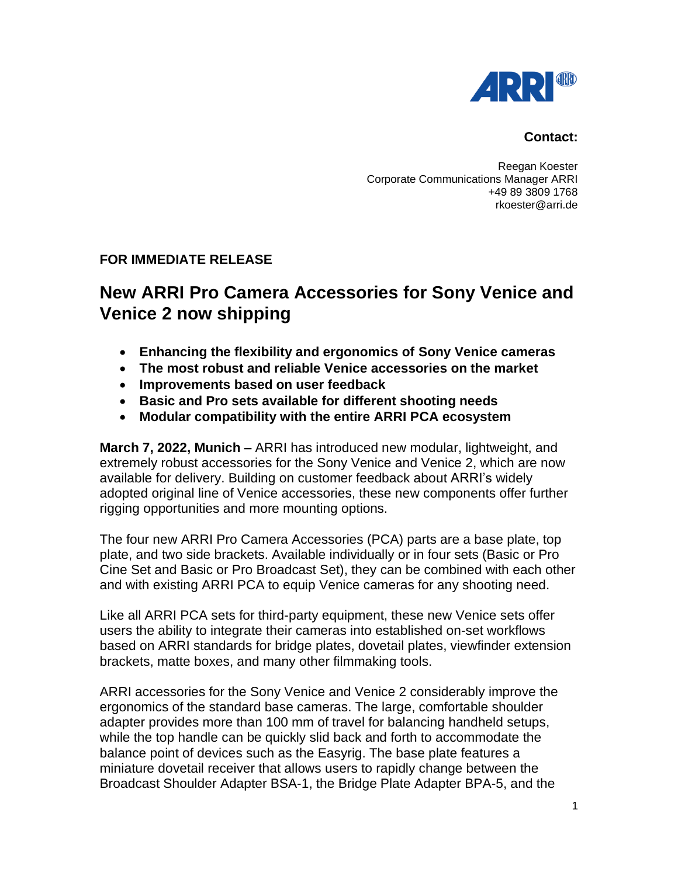

## **Contact:**

Reegan Koester Corporate Communications Manager ARRI +49 89 3809 1768 rkoester@arri.de

## **FOR IMMEDIATE RELEASE**

## **New ARRI Pro Camera Accessories for Sony Venice and Venice 2 now shipping**

- **Enhancing the flexibility and ergonomics of Sony Venice cameras**
- **The most robust and reliable Venice accessories on the market**
- **Improvements based on user feedback**
- **Basic and Pro sets available for different shooting needs**
- **Modular compatibility with the entire ARRI PCA ecosystem**

**March 7, 2022, Munich –** ARRI has introduced new modular, lightweight, and extremely robust accessories for the Sony Venice and Venice 2, which are now available for delivery. Building on customer feedback about ARRI's widely adopted original line of Venice accessories, these new components offer further rigging opportunities and more mounting options.

The four new ARRI Pro Camera Accessories (PCA) parts are a base plate, top plate, and two side brackets. Available individually or in four sets (Basic or Pro Cine Set and Basic or Pro Broadcast Set), they can be combined with each other and with existing ARRI PCA to equip Venice cameras for any shooting need.

Like all ARRI PCA sets for third-party equipment, these new Venice sets offer users the ability to integrate their cameras into established on-set workflows based on ARRI standards for bridge plates, dovetail plates, viewfinder extension brackets, matte boxes, and many other filmmaking tools.

ARRI accessories for the Sony Venice and Venice 2 considerably improve the ergonomics of the standard base cameras. The large, comfortable shoulder adapter provides more than 100 mm of travel for balancing handheld setups, while the top handle can be quickly slid back and forth to accommodate the balance point of devices such as the Easyrig. The base plate features a miniature dovetail receiver that allows users to rapidly change between the Broadcast Shoulder Adapter BSA-1, the Bridge Plate Adapter BPA-5, and the